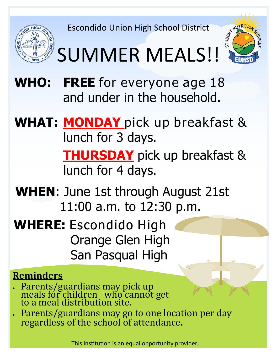Escondido Union High School District





# SUMMER MEALS!!

- **WHO: FREE** for everyone age 18 and under in the household.
- **WHAT: MONDAY** pick up breakfast & lunch for 3 days. **THURSDAY** pick up breakfast & lunch for 4 days.
- **WHEN**: June 1st through August 21st 11:00 a.m. to 12:30 p.m.
- **WHERE:** Escondido High Orange Glen High San Pasqual High

### **Reminders**

- Parents/guardians may pick up meals for children who cannot get to a meal distribution site.
- Parents/guardians may go to one location per day regardless of the school of attendance.